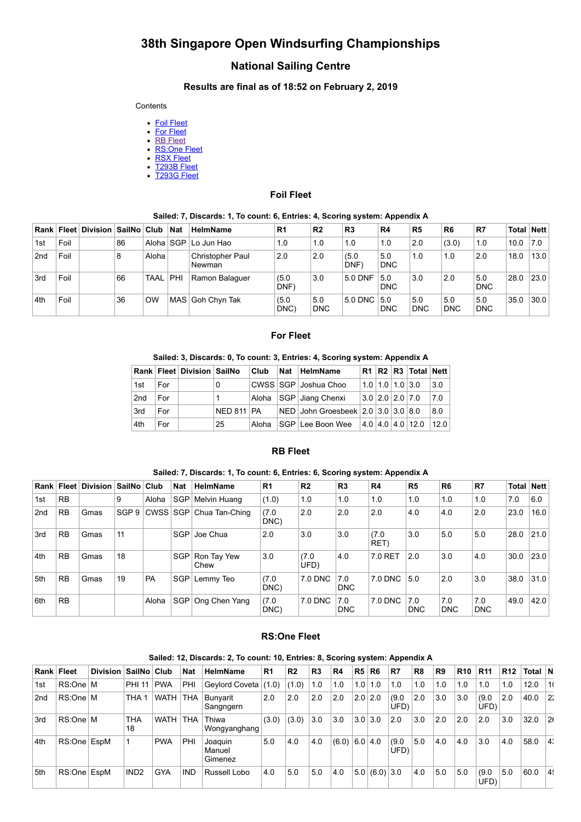# **38th Singapore Open Windsurfing Championships**

# **National Sailing Centre**

#### **Results are final as of 18:52 on February 2, 2019**

#### **Contents**

- [Foil Fleet](#page-0-0)
- [For Fleet](#page-0-1)
- [RB Fleet](#page-0-2) [RS:One Fleet](#page-0-3)
- [RSX Fleet](#page-1-0)
- [T293B Fleet](#page-1-1)
- [T293G Fleet](#page-1-2)

#### **Foil Fleet**

#### **Sailed: 7, Discards: 1, To count: 6, Entries: 4, Scoring system: Appendix A**

<span id="page-0-0"></span>

|     |      | Rank   Fleet   Division   SailNo   Club |    |            | Nat | <b>HelmName</b>                   | R <sub>1</sub> | R <sub>2</sub>    | R <sub>3</sub> | R4                | R <sub>5</sub>    | R <sub>6</sub>    | R7                | Total Nett |      |
|-----|------|-----------------------------------------|----|------------|-----|-----------------------------------|----------------|-------------------|----------------|-------------------|-------------------|-------------------|-------------------|------------|------|
| 1st | Foil |                                         | 86 |            |     | Aloha SGP Lo Jun Hao              | 1.0            | 1.0               | 1.0            | 1.0               | 2.0               | (3.0)             | 1.0               | 10.0       | 7.0  |
| 2nd | Foil |                                         | 8  | Aloha      |     | <b>Christopher Paul</b><br>Newman | 2.0            | 2.0               | (5.0)<br>DNF)  | 5.0<br><b>DNC</b> | 1.0               | 1.0               | 2.0               | 18.0       | 13.0 |
| 3rd | Foil |                                         | 66 | TAAL   PHI |     | Ramon Balaquer                    | (5.0)<br>DNF)  | 3.0               | 5.0 DNF        | 5.0<br><b>DNC</b> | 3.0               | 2.0               | 5.0<br><b>DNC</b> | 28.0       | 23.0 |
| 4th | Foil |                                         | 36 | OW         |     | MAS Goh Chyn Tak                  | (5.0)<br>DNC   | 5.0<br><b>DNC</b> | 5.0 DNC        | 15.0<br>DNC       | 5.0<br><b>DNC</b> | 5.0<br><b>DNC</b> | 5.0<br><b>DNC</b> | 35.0       | 30.0 |

#### **For Fleet**

### **Sailed: 3, Discards: 0, To count: 3, Entries: 4, Scoring system: Appendix A**

<span id="page-0-1"></span>

|                 |     | Rank   Fleet   Division   SailNo |              | Club  | <b>Nat</b> | <b>HelmName</b>                              |  |                         |                  |      |
|-----------------|-----|----------------------------------|--------------|-------|------------|----------------------------------------------|--|-------------------------|------------------|------|
| 1st             | For |                                  | 0            |       |            | CWSS SGP Joshua Choo                         |  | $1.0$   1.0   1.0   3.0 |                  | 3.0  |
| 2 <sub>nd</sub> | For |                                  |              |       |            | Aloha SGP Jiang Chenxi                       |  | $3.0$   2.0   2.0   7.0 |                  | 7.0  |
| 3rd             | For |                                  | $NED 811$ PA |       |            | NED   John Groesbeek   2.0   3.0   3.0   8.0 |  |                         |                  | 8.0  |
| 4th             | For |                                  | 25           | Aloha |            | SGP Lee Boon Wee                             |  |                         | 4.0 4.0 4.0 12.0 | 12.0 |

#### **RB Fleet**

#### **Sailed: 7, Discards: 1, To count: 6, Entries: 6, Scoring system: Appendix A**

<span id="page-0-2"></span>

|     |           | Rank   Fleet   Division   SailNo   Club |       |           | <b>Nat</b> | <b>HelmName</b>         | R <sub>1</sub> | R <sub>2</sub> | R <sub>3</sub>    | <b>R4</b>     | R <sub>5</sub>    | R <sub>6</sub>    | R7                | <b>Total Nett</b> |      |
|-----|-----------|-----------------------------------------|-------|-----------|------------|-------------------------|----------------|----------------|-------------------|---------------|-------------------|-------------------|-------------------|-------------------|------|
| 1st | <b>RB</b> |                                         | 9     | Aloha     | SGP        | Melvin Huang            | (1.0)          | 1.0            | 1.0               | 1.0           | 1.0               | 1.0               | 1.0               | 7.0               | 6.0  |
| 2nd | <b>RB</b> | Gmas                                    | SGP 9 |           |            | CWSS SGP Chua Tan-Ching | (7.0<br>DNC)   | 2.0            | 2.0               | 2.0           | 4.0               | 4.0               | 2.0               | 23.0              | 16.0 |
| 3rd | <b>RB</b> | Gmas                                    | 11    |           |            | SGP   Joe Chua          | 2.0            | 3.0            | 3.0               | (7.0)<br>RET) | 3.0               | 5.0               | 5.0               | 28.0              | 21.0 |
| 4th | <b>RB</b> | Gmas                                    | 18    |           |            | SGP Ron Tay Yew<br>Chew | 3.0            | (7.0)<br>UFD)  | 4.0               | 7.0 RET       | 2.0               | 3.0               | 4.0               | 30.0              | 23.0 |
| 5th | <b>RB</b> | Gmas                                    | 19    | <b>PA</b> | SGP        | Lemmy Teo               | (7.0)<br>DNC)  | 7.0 DNC        | 7.0<br><b>DNC</b> | 7.0 DNC       | 5.0               | 2.0               | 3.0               | 38.0              | 31.0 |
| 6th | <b>RB</b> |                                         |       | Aloha     | SGP        | Ong Chen Yang           | (7.0)<br>DNC)  | 7.0 DNC        | 7.0<br><b>DNC</b> | 7.0 DNC       | 7.0<br><b>DNC</b> | 7.0<br><b>DNC</b> | 7.0<br><b>DNC</b> | 49.0              | 42.0 |

### **RS:One Fleet**

#### **Sailed: 12, Discards: 2, To count: 10, Entries: 8, Scoring system: Appendix A**

<span id="page-0-3"></span>

| Rank Fleet      |             | <b>Division</b> | SailNo Club      |             | <b>Nat</b> | <b>HelmName</b>              | R <sub>1</sub> | R <sub>2</sub> | R <sub>3</sub> | R <sub>4</sub>  | R <sub>5</sub> | R <sub>6</sub> | R7            | R <sub>8</sub> | R <sub>9</sub> | <b>R10</b> | <b>R11</b>    | R <sub>12</sub> | Total N |          |
|-----------------|-------------|-----------------|------------------|-------------|------------|------------------------------|----------------|----------------|----------------|-----------------|----------------|----------------|---------------|----------------|----------------|------------|---------------|-----------------|---------|----------|
| 1st             | RS:One M    |                 | <b>PHI 11</b>    | <b>PWA</b>  | PHI        | Geylord Coveta               | (1.0)          | (1.0)          | 1.0            | 1.0             | 1.0            | 1.0            | 1.0           | 1.0            | 1.0            | 1.0        | 1.0           | 1.0             | 12.0    | 1(       |
| 2 <sub>nd</sub> | RS:One M    |                 | THA              | <b>WATH</b> | THA        | Bunyarit<br>Sangngern        | 2.0            | 2.0            | 2.0            | 2.0             | 2.0            | 2.0            | (9.0)<br>UFD) | 2.0            | 3.0            | 3.0        | (9.0)<br>UFD) | 2.0             | 40.0    | 12:      |
| 3rd             | RS:One M    |                 | THA<br>18        | WATH        | <b>THA</b> | Thiwa<br>Wongyanghang        | (3.0)          | (3.0)          | 3.0            | 3.0             | 3.0            | 3.0            | 2.0           | 3.0            | 2.0            | 2.0        | 2.0           | 3.0             | 32.0    | 2(       |
| 4th             | RS:One EspM |                 |                  | <b>PWA</b>  | PHI        | Joaquin<br>Manuel<br>Gimenez | 5.0            | 4.0            | 4.0            | $(6.0)$ 6.0 4.0 |                |                | (9.0)<br>UFD) | 5.0            | 4.0            | 4.0        | 3.0           | 4.0             | 58.0    | l 4:     |
| 5th             | RS:One EspM |                 | IND <sub>2</sub> | <b>GYA</b>  | <b>IND</b> | Russell Lobo                 | 4.0            | 5.0            | 5.0            | 4.0             | 5.0            | $(6.0)$ 3.0    |               | 4.0            | 5.0            | 5.0        | (9.0)<br>UFD) | 5.0             | 60.0    | <b>4</b> |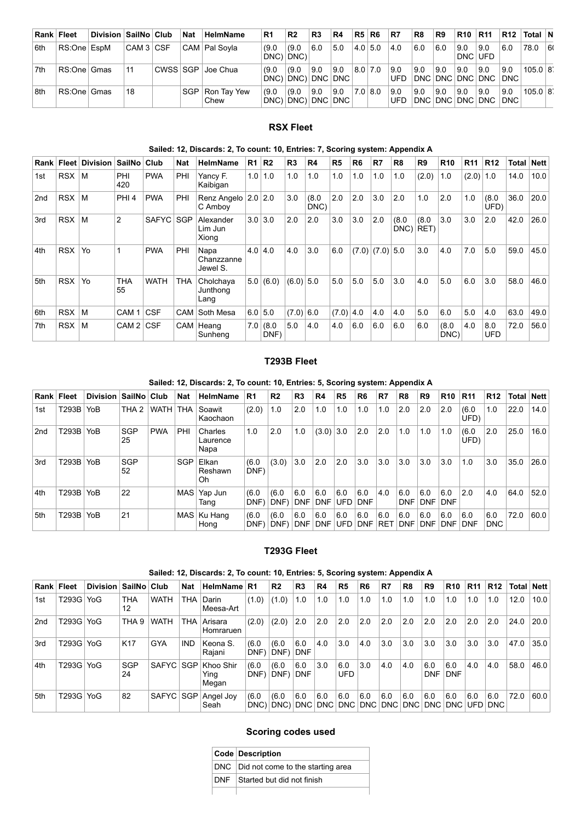| Rank Fleet |             | Division   SailNo   Club |             | <b>Nat</b> | <b>HelmName</b>           | R <sub>1</sub> | R <sub>2</sub>             | R <sub>3</sub> | R4          | R5 R6       | R7            | R8   | R9  | <b>R10</b>     | <b>R11</b>                     | R12 | ⊺Total ∣N    |     |
|------------|-------------|--------------------------|-------------|------------|---------------------------|----------------|----------------------------|----------------|-------------|-------------|---------------|------|-----|----------------|--------------------------------|-----|--------------|-----|
| ∣6th       | RS:One EspM |                          | ∣CAM 3 ∣CSF |            | CAM   Pal Sovla           | (9.0)          | (9.0)<br>DNC) DNC)         | 6.0            | 5.0         | $4.0\,$ 5.0 | $ 4.0\rangle$ | 6.0  | 6.0 | 9.0<br>DNC UFD | 9.0                            | 6.0 | 78.0         | 160 |
| ∣7th       | RS:One Gmas |                          | 11          |            | CWSS SGP Joe Chua         | (9.0)          | (9.0)<br>DNC) DNC) DNC     | 9.0            | 9.0<br> DNC | $8.0$ 7.0   | 9.0<br>UFD    | 9.0  | 9.0 | 9.0            | 9.0<br>DNC DNC DNC DNC DNC     | 9.0 | $105.0$ $ 8$ |     |
| ∣8th       | RS:One Gmas |                          | 18          |            | SGP   Ron Tay Yew<br>Chew | (9.0)          | (9.0)<br>DNC) DNC) DNC DNC | 9.0            | 9.0         | 7.0 8.0     | 9.0<br>UFD    | 19.0 | 9.0 | ∣9.0           | 9.0<br>DNC DNC DNC DNC DNC DNC | 9.0 | $105.0$ $ 8$ |     |

# **RSX Fleet**

### **Sailed: 12, Discards: 2, To count: 10, Entries: 7, Scoring system: Appendix A**

<span id="page-1-0"></span>

|                 | Rank Fleet | <b>Division</b> | SailNo           | Club        | <b>Nat</b> | <b>HelmName</b>                | R1        | R <sub>2</sub> | R <sub>3</sub> | R4            | R <sub>5</sub> | R <sub>6</sub> | R7          | R <sub>8</sub> | R9            | <b>R10</b>    | R <sub>11</sub> | R <sub>12</sub> | Total | <b>Nett</b> |
|-----------------|------------|-----------------|------------------|-------------|------------|--------------------------------|-----------|----------------|----------------|---------------|----------------|----------------|-------------|----------------|---------------|---------------|-----------------|-----------------|-------|-------------|
| 1st             | <b>RSX</b> | M               | PHI<br>420       | <b>PWA</b>  | PHI        | Yancy F.<br>Kaibigan           | 1.0       | 1.0            | 1.0            | 1.0           | 1.0            | 1.0            | 1.0         | 1.0            | (2.0)         | 1.0           | $(2.0)$ 1.0     |                 | 14.0  | 10.0        |
| 2 <sub>nd</sub> | <b>RSX</b> | M               | PHI <sub>4</sub> | <b>PWA</b>  | PHI        | Renz Angelo<br>C Ambov         | 2.0       | 2.0            | 3.0            | (8.0)<br>DNC) | 2.0            | 2.0            | 3.0         | 2.0            | 1.0           | 2.0           | 1.0             | (8.0)<br>UFD)   | 36.0  | 20.0        |
| 3rd             | <b>RSX</b> | M               | $\overline{2}$   | SAFYC       | <b>SGP</b> | Alexander<br>Lim Jun<br>Xiong  | 3.0       | 3.0            | 2.0            | 2.0           | 3.0            | 3.0            | 2.0         | (8.0)<br>DNC)  | (8.0)<br>RET) | 3.0           | 3.0             | 2.0             | 42.0  | 26.0        |
| 4th             | <b>RSX</b> | Yo              |                  | <b>PWA</b>  | PHI        | Napa<br>Chanzzanne<br>Jewel S. | 4.0   4.0 |                | 4.0            | 3.0           | 6.0            | (7.0)          | $(7.0)$ 5.0 |                | 3.0           | 4.0           | 7.0             | 5.0             | 59.0  | 45.0        |
| 5th             | <b>RSX</b> | Yo              | <b>THA</b><br>55 | <b>WATH</b> | <b>THA</b> | Cholchava<br>Junthong<br>Lang  | 5.0       | (6.0)          | (6.0)          | 5.0           | 5.0            | 5.0            | 5.0         | 3.0            | 4.0           | 5.0           | 6.0             | 3.0             | 58.0  | 46.0        |
| 6th             | <b>RSX</b> | M               | CAM <sub>1</sub> | <b>CSF</b>  | <b>CAM</b> | Soth Mesa                      | 6.0       | 5.0            | $(7.0)$ 6.0    |               | (7.0)          | 4.0            | 4.0         | 4.0            | 5.0           | 6.0           | 5.0             | 4.0             | 63.0  | 49.0        |
| 7th             | <b>RSX</b> | м               | CAM 2            | <b>CSF</b>  |            | CAM   Heang<br>Sunheng         | 7.0       | (8.0)<br>DNF)  | 5.0            | 4.0           | 4.0            | 6.0            | 6.0         | 6.0            | 6.0           | (8.0)<br>DNC) | 4.0             | 8.0<br>UFD      | 72.0  | 56.0        |

### **T293B Fleet**

# **Sailed: 12, Discards: 2, To count: 10, Entries: 5, Scoring system: Appendix A**

<span id="page-1-1"></span>

|                 | Rank Fleet   | Division   SailNo   Club |                  |            | <b>Nat</b> | <b>HelmName</b>             | R <sub>1</sub> | R <sub>2</sub> | R <sub>3</sub>    | R4                | R <sub>5</sub>    | <b>R6</b>         | R <sub>7</sub> | R <sub>8</sub>    | R <sub>9</sub>    | <b>R10</b>        | R11           | R <sub>12</sub>   | <b>Total</b> | Nett |
|-----------------|--------------|--------------------------|------------------|------------|------------|-----------------------------|----------------|----------------|-------------------|-------------------|-------------------|-------------------|----------------|-------------------|-------------------|-------------------|---------------|-------------------|--------------|------|
| 1st             | <b>T293B</b> | YoB                      | THA <sub>2</sub> | WATH THA   |            | Soawit<br>Kaochaon          | (2.0)          | 1.0            | 2.0               | 1.0               | 1.0               | 1.0               | 1.0            | 2.0               | 2.0               | 2.0               | (6.0)<br>UFD) | 1.0               | 22.0         | 14.0 |
| 2 <sub>nd</sub> | T293B        | YoB                      | <b>SGP</b><br>25 | <b>PWA</b> | PHI        | Charles<br>Laurence<br>Napa | 1.0            | 2.0            | 1.0               | (3.0)             | 3.0               | 2.0               | 2.0            | 1.0               | 1.0               | 1.0               | (6.0)<br>UFD) | 2.0               | 25.0         | 16.0 |
| 3rd             | T293B        | <b>YoB</b>               | SGP<br>52        |            | SGP        | Elkan<br>Reshawn<br>Oh      | (6.0)<br>DNF)  | (3.0)          | 3.0               | 2.0               | 2.0               | 3.0               | 3.0            | 3.0               | 3.0               | 3.0               | 1.0           | 3.0               | 35.0         | 26.0 |
| 4th             | T293B        | YoB                      | 22               |            | MAS        | Yap Jun<br>Tang             | (6.0)<br>DNF)  | (6.0)<br>DNF)  | 6.0<br><b>DNF</b> | 6.0<br><b>DNF</b> | 6.0<br>UFD        | 6.0<br><b>DNF</b> | 4.0            | 6.0<br>DNF        | 6.0<br><b>DNF</b> | 6.0<br><b>DNF</b> | 2.0           | 4.0               | 64.0         | 52.0 |
| 5th             | T293B        | YoB                      | 21               |            |            | MAS   Ku Hang<br>Hong       | (6.0)<br>DNF)  | (6.0)<br>DNF)  | 6.0<br><b>DNF</b> | 6.0<br>DNF        | 6.0<br><b>UFD</b> | 6.0<br><b>DNF</b> | 6.0<br>∣RET    | 6.0<br><b>DNF</b> | 6.0<br><b>DNF</b> | 6.0<br>DNF        | 6.0<br>∣DNF   | 6.0<br><b>DNC</b> | 72.0         | 60.0 |

#### **T293G Fleet**

### **Sailed: 12, Discards: 2, To count: 10, Entries: 5, Scoring system: Appendix A**

<span id="page-1-2"></span>

| Rank Fleet |       | <b>Division</b> | <b>SailNo</b>    | Club        | <b>Nat</b> | HelmName R1                |                   | R <sub>2</sub>            | R <sub>3</sub>    | R <sub>4</sub>      | R <sub>5</sub>    | R <sub>6</sub> | R7  | R <sub>8</sub> | R <sub>9</sub>    | R <sub>10</sub>   | R <sub>11</sub> | R <sub>12</sub> | Total   Nett |      |
|------------|-------|-----------------|------------------|-------------|------------|----------------------------|-------------------|---------------------------|-------------------|---------------------|-------------------|----------------|-----|----------------|-------------------|-------------------|-----------------|-----------------|--------------|------|
| 1st        | T293G | YoG             | <b>THA</b><br>12 | <b>WATH</b> | THA        | Darin<br>Meesa-Art         | (1.0)             | (1.0)                     | 1.0               | 1.0                 | 1.0               | 1.0            | 1.0 | 1.0            | 1.0               | 1.0               | 1.0             | 1.0             | 12.0         | 10.0 |
| 2nd        | T293G | YoG             | THA <sub>9</sub> | <b>WATH</b> | THA        | Arisara<br>Homraruen       | (2.0)             | (2.0)                     | 2.0               | 2.0                 | 2.0               | 2.0            | 2.0 | 2.0            | 2.0               | 2.0               | 2.0             | 2.0             | 24.0         | 20.0 |
| 3rd        | T293G | YoG             | K <sub>17</sub>  | <b>GYA</b>  | <b>IND</b> | Keona S.<br>Rajani         | (6.0)<br>DNF)     | (6.0)<br>DNF)             | 6.0<br><b>DNF</b> | 4.0                 | 3.0               | 4.0            | 3.0 | 3.0            | 3.0               | 3.0               | 3.0             | 3.0             | 47.0         | 35.0 |
| 4th        | T293G | YoG             | <b>SGP</b><br>24 | SAFYC SGP   |            | Khoo Shir<br>Ying<br>Megan | (6.0)<br>DNF)     | (6.0)<br>DNF <sup>'</sup> | 6.0<br><b>DNF</b> | 3.0                 | 6.0<br><b>UFD</b> | 3.0            | 4.0 | 4.0            | 6.0<br><b>DNF</b> | 6.0<br><b>DNF</b> | 4.0             | 4.0             | 58.0         | 46.0 |
| 5th        | T293G | YoG             | 82               | SAFYC SGP   |            | Angel Joy<br>Seah          | (6.0)<br>DNC) DNC | (6.0)                     | 6.0               | 6.0<br> DNC DNC DNC | 6.0               | 6.0<br>DNC I   | 6.0 | 6.0<br>DNC DNC | 6.0<br>DNC        | 6.0<br>DNC        | 6.0<br>UFD I    | 6.0<br>DNC.     | 72.0         | 60.0 |

# **Scoring codes used**

| <b>Code Description</b>               |
|---------------------------------------|
| DNC Did not come to the starting area |
| <b>DNF</b> Started but did not finish |
|                                       |